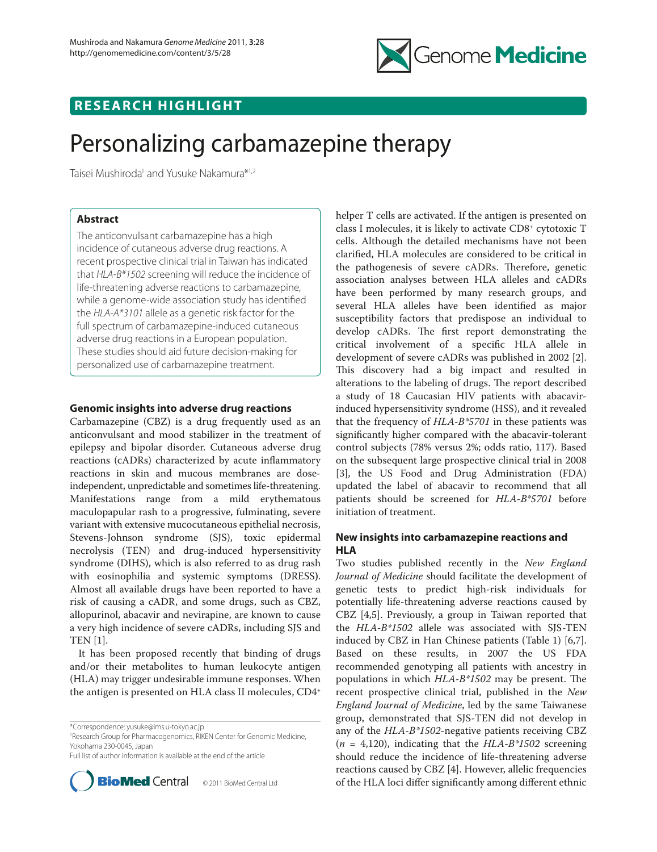

## **RESEARCH HIGHLIGHT**

# Personalizing carbamazepine therapy

Taisei Mushiroda<sup>1</sup> and Yusuke Nakamura\*<sup>1,2</sup>

## **Abstract**

The anticonvulsant carbamazepine has a high incidence of cutaneous adverse drug reactions. A recent prospective clinical trial in Taiwan has indicated that *HLA-B\*1502* screening will reduce the incidence of life-threatening adverse reactions to carbamazepine, while a genome-wide association study has identified the *HLA-A\*3101* allele as a genetic risk factor for the full spectrum of carbamazepine-induced cutaneous adverse drug reactions in a European population. These studies should aid future decision-making for personalized use of carbamazepine treatment.

## **Genomic insights into adverse drug reactions**

Carbamazepine (CBZ) is a drug frequently used as an anticonvulsant and mood stabilizer in the treatment of epilepsy and bipolar disorder. Cutaneous adverse drug reactions (cADRs) characterized by acute inflammatory reactions in skin and mucous membranes are doseindependent, unpredictable and sometimes life-threatening. Manifestations range from a mild erythematous maculopapular rash to a progressive, fulminating, severe variant with extensive mucocutaneous epithelial necrosis, Stevens-Johnson syndrome (SJS), toxic epidermal necrolysis (TEN) and drug-induced hypersensitivity syndrome (DIHS), which is also referred to as drug rash with eosinophilia and systemic symptoms (DRESS**)**. Almost all available drugs have been reported to have a risk of causing a cADR, and some drugs, such as CBZ, allopurinol, abacavir and nevirapine, are known to cause a very high incidence of severe cADRs, including SJS and TEN [1].

It has been proposed recently that binding of drugs and/or their metabolites to human leukocyte antigen (HLA) may trigger undesirable immune responses. When the antigen is presented on HLA class II molecules, CD4+

1 Research Group for Pharmacogenomics, RIKEN Center for Genomic Medicine, Yokohama 230-0045, Japan

Full list of author information is available at the end of the article



helper T cells are activated. If the antigen is presented on class I molecules, it is likely to activate CD8+ cytotoxic T cells. Although the detailed mechanisms have not been clarified, HLA molecules are considered to be critical in the pathogenesis of severe cADRs. Therefore, genetic association analyses between HLA alleles and cADRs have been performed by many research groups, and several HLA alleles have been identified as major susceptibility factors that predispose an individual to develop cADRs. The first report demonstrating the critical involvement of a specific HLA allele in development of severe cADRs was published in 2002 [2]. This discovery had a big impact and resulted in alterations to the labeling of drugs. The report described a study of 18 Caucasian HIV patients with abacavirinduced hypersensitivity syndrome (HSS), and it revealed that the frequency of *HLA-B\*5701* in these patients was significantly higher compared with the abacavir-tolerant control subjects (78% versus 2%; odds ratio, 117). Based on the subsequent large prospective clinical trial in 2008 [3], the US Food and Drug Administration (FDA) updated the label of abacavir to recommend that all patients should be screened for *HLA-B\*5701* before initiation of treatment.

## **New insights into carbamazepine reactions and HLA**

Two studies published recently in the *New England Journal of Medicine* should facilitate the development of genetic tests to predict high-risk individuals for potentially life-threatening adverse reactions caused by CBZ [4,5]. Previously, a group in Taiwan reported that the *HLA-B\*1502* allele was associated with SJS-TEN induced by CBZ in Han Chinese patients (Table 1) [6,7]. Based on these results, in 2007 the US FDA recommended genotyping all patients with ancestry in populations in which *HLA-B\*1502* may be present. The recent prospective clinical trial, published in the *New England Journal of Medicine*, led by the same Taiwanese group, demonstrated that SJS-TEN did not develop in any of the *HLA-B\*1502*-negative patients receiving CBZ (*n* = 4,120), indicating that the *HLA-B\*1502* screening should reduce the incidence of life-threatening adverse reactions caused by CBZ [4]. However, allelic frequencies of the HLA loci differ significantly among different ethnic

<sup>\*</sup>Correspondence: yusuke@ims.u-tokyo.ac.jp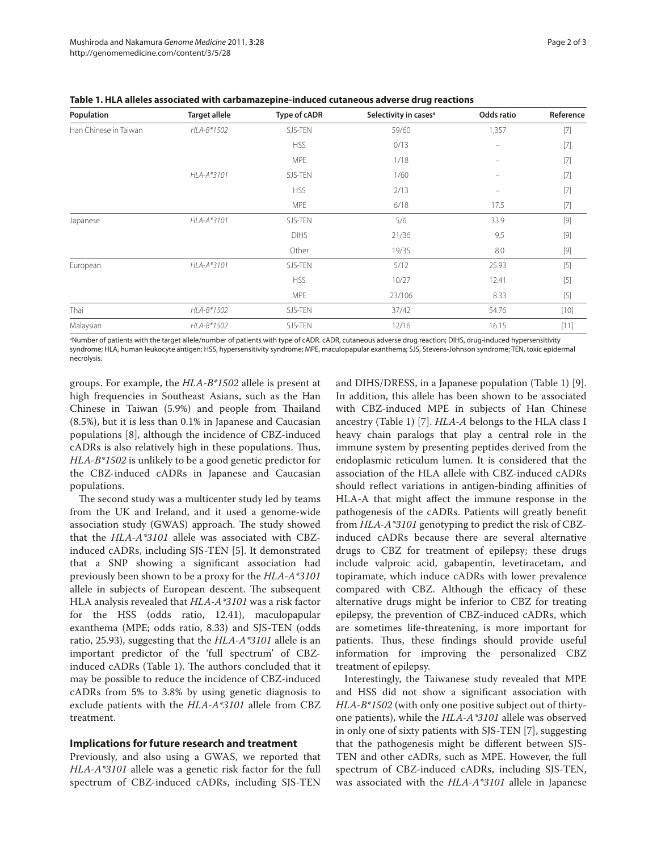| Population            | <b>Target allele</b> | Type of cADR | Selectivity in cases <sup>a</sup> | Odds ratio | Reference                                                                                                                                                                                                                                                                                                                                                                                                                                                                                                        |
|-----------------------|----------------------|--------------|-----------------------------------|------------|------------------------------------------------------------------------------------------------------------------------------------------------------------------------------------------------------------------------------------------------------------------------------------------------------------------------------------------------------------------------------------------------------------------------------------------------------------------------------------------------------------------|
| Han Chinese in Taiwan | HLA-B*1502           | SJS-TEN      | 59/60                             | 1,357      | $[7]$                                                                                                                                                                                                                                                                                                                                                                                                                                                                                                            |
|                       |                      | <b>HSS</b>   | 0/13                              | -          | $[7]$                                                                                                                                                                                                                                                                                                                                                                                                                                                                                                            |
|                       |                      | <b>MPE</b>   | 1/18                              |            | $[7]$                                                                                                                                                                                                                                                                                                                                                                                                                                                                                                            |
|                       | HLA-A*3101           | SJS-TEN      | 1/60                              |            | $[7]$                                                                                                                                                                                                                                                                                                                                                                                                                                                                                                            |
|                       |                      | <b>HSS</b>   | 2/13                              |            |                                                                                                                                                                                                                                                                                                                                                                                                                                                                                                                  |
|                       |                      | <b>MPE</b>   | 6/18                              | 17.5       |                                                                                                                                                                                                                                                                                                                                                                                                                                                                                                                  |
| Japanese              | HLA-A*3101           | SJS-TEN      | 5/6                               | 33.9       |                                                                                                                                                                                                                                                                                                                                                                                                                                                                                                                  |
|                       |                      | <b>DIHS</b>  | 21/36                             | 9.5        | $[9]$                                                                                                                                                                                                                                                                                                                                                                                                                                                                                                            |
|                       |                      | Other        | 19/35                             | 8.0        | $[9] % \begin{center} % \includegraphics[width=\linewidth]{imagesSupplemental_3.png} % \end{center} % \caption { % Our method is used for the method. % Note that the \emph{DefNet}~\cite{bib66}~(4) and the \emph{DefNet}~\cite{bib66}~(4) are used for the \emph{DefNet}~\cite{bib66}~(4) and the \emph{DefNet}~\cite{bib66}~(4) are used for the \emph{DefNet}~\cite{bib66}~(4) and the \emph{DefNet}~\cite{bib66}~(4) are used for the \emph{DefNet}~\cite{bib66}~(4) and the \emph{DefNet}~\cite{bib66}~(4$ |
| European              | HLA-A*3101           | SJS-TEN      | 5/12                              | 25.93      | $[5]$                                                                                                                                                                                                                                                                                                                                                                                                                                                                                                            |
|                       |                      | <b>HSS</b>   | 10/27                             | 12.41      | $[5]$                                                                                                                                                                                                                                                                                                                                                                                                                                                                                                            |
|                       |                      | <b>MPE</b>   | 23/106                            | 8.33       | $[5]$                                                                                                                                                                                                                                                                                                                                                                                                                                                                                                            |
| Thai                  | HLA-B*1502           | SJS-TEN      | 37/42                             | 54.76      | $[10]$                                                                                                                                                                                                                                                                                                                                                                                                                                                                                                           |
| Malaysian             | HLA-B*1502           | SJS-TEN      | 12/16                             | 16.15      | [11]                                                                                                                                                                                                                                                                                                                                                                                                                                                                                                             |

**Table 1. HLA alleles associated with carbamazepine-induced cutaneous adverse drug reactions**

a Number of patients with the target allele/number of patients with type of cADR. cADR, cutaneous adverse drug reaction; DIHS, drug-induced hypersensitivity syndrome; HLA, human leukocyte antigen; HSS, hypersensitivity syndrome; MPE, maculopapular exanthema; SJS, Stevens-Johnson syndrome; TEN, toxic epidermal necrolysis.

groups. For example, the *HLA-B\*1502* allele is present at high frequencies in Southeast Asians, such as the Han Chinese in Taiwan (5.9%) and people from Thailand (8.5%), but it is less than 0.1% in Japanese and Caucasian populations [8], although the incidence of CBZ-induced cADRs is also relatively high in these populations. Thus, *HLA-B\*1502* is unlikely to be a good genetic predictor for the CBZ-induced cADRs in Japanese and Caucasian populations.

The second study was a multicenter study led by teams from the UK and Ireland, and it used a genome-wide association study (GWAS) approach. The study showed that the *HLA-A\*3101* allele was associated with CBZinduced cADRs, including SJS-TEN [5]. It demonstrated that a SNP showing a significant association had previously been shown to be a proxy for the *HLA-A\*3101* allele in subjects of European descent. The subsequent HLA analysis revealed that *HLA-A\*3101* was a risk factor for the HSS (odds ratio, 12.41), maculopapular exanthema (MPE; odds ratio, 8.33) and SJS-TEN (odds ratio, 25.93), suggesting that the *HLA-A\*3101* allele is an important predictor of the 'full spectrum' of CBZinduced cADRs (Table 1). The authors concluded that it may be possible to reduce the incidence of CBZ-induced cADRs from 5% to 3.8% by using genetic diagnosis to exclude patients with the *HLA-A\*3101* allele from CBZ treatment.

### **Implications for future research and treatment**

Previously, and also using a GWAS, we reported that *HLA-A\*3101* allele was a genetic risk factor for the full spectrum of CBZ-induced cADRs, including SJS-TEN

and DIHS/DRESS, in a Japanese population (Table 1) [9]. In addition, this allele has been shown to be associated with CBZ-induced MPE in subjects of Han Chinese ancestry (Table 1) [7]. *HLA-A* belongs to the HLA class I heavy chain paralogs that play a central role in the immune system by presenting peptides derived from the endoplasmic reticulum lumen. It is considered that the association of the HLA allele with CBZ-induced cADRs should reflect variations in antigen-binding affinities of HLA-A that might affect the immune response in the pathogenesis of the cADRs. Patients will greatly benefit from *HLA-A\*3101* genotyping to predict the risk of CBZinduced cADRs because there are several alternative drugs to CBZ for treatment of epilepsy; these drugs include valproic acid, gabapentin, levetiracetam, and topiramate, which induce cADRs with lower prevalence compared with CBZ. Although the efficacy of these alternative drugs might be inferior to CBZ for treating epilepsy, the prevention of CBZ-induced cADRs, which are sometimes life-threatening, is more important for patients. Thus, these findings should provide useful information for improving the personalized CBZ treatment of epilepsy.

Interestingly, the Taiwanese study revealed that MPE and HSS did not show a significant association with *HLA-B\*1502* (with only one positive subject out of thirtyone patients), while the *HLA-A\*3101* allele was observed in only one of sixty patients with SJS-TEN [7], suggesting that the pathogenesis might be different between SJS-TEN and other cADRs, such as MPE. However, the full spectrum of CBZ-induced cADRs, including SJS-TEN, was associated with the *HLA-A\*3101* allele in Japanese